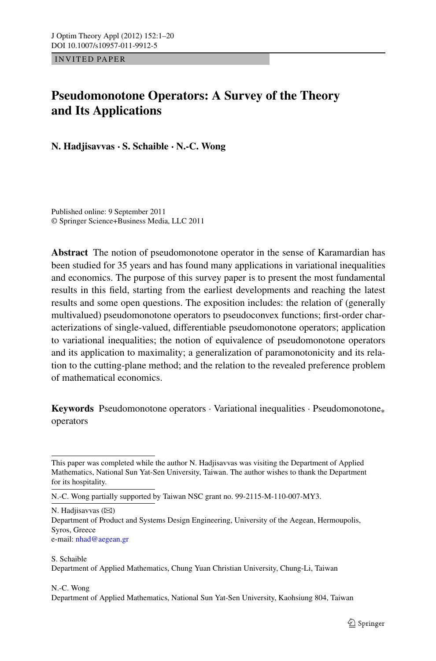INVITED PAPER

# **Pseudomonotone Operators: A Survey of the Theory and Its Applications**

**N. Hadjisavvas · S. Schaible · N.-C. Wong**

Published online: 9 September 2011 © Springer Science+Business Media, LLC 2011

**Abstract** The notion of pseudomonotone operator in the sense of Karamardian has been studied for 35 years and has found many applications in variational inequalities and economics. The purpose of this survey paper is to present the most fundamental results in this field, starting from the earliest developments and reaching the latest results and some open questions. The exposition includes: the relation of (generally multivalued) pseudomonotone operators to pseudoconvex functions; first-order characterizations of single-valued, differentiable pseudomonotone operators; application to variational inequalities; the notion of equivalence of pseudomonotone operators and its application to maximality; a generalization of paramonotonicity and its relation to the cutting-plane method; and the relation to the revealed preference problem of mathematical economics.

**Keywords** Pseudomonotone operators · Variational inequalities · Pseudomonotone<sup>∗</sup> operators

N. Hadjisavvas ( $\boxtimes$ )

e-mail: [nhad@aegean.gr](mailto:nhad@aegean.gr)

N.-C. Wong

Department of Applied Mathematics, National Sun Yat-Sen University, Kaohsiung 804, Taiwan

This paper was completed while the author N. Hadjisavvas was visiting the Department of Applied Mathematics, National Sun Yat-Sen University, Taiwan. The author wishes to thank the Department for its hospitality.

N.-C. Wong partially supported by Taiwan NSC grant no. 99-2115-M-110-007-MY3.

Department of Product and Systems Design Engineering, University of the Aegean, Hermoupolis, Syros, Greece

S. Schaible Department of Applied Mathematics, Chung Yuan Christian University, Chung-Li, Taiwan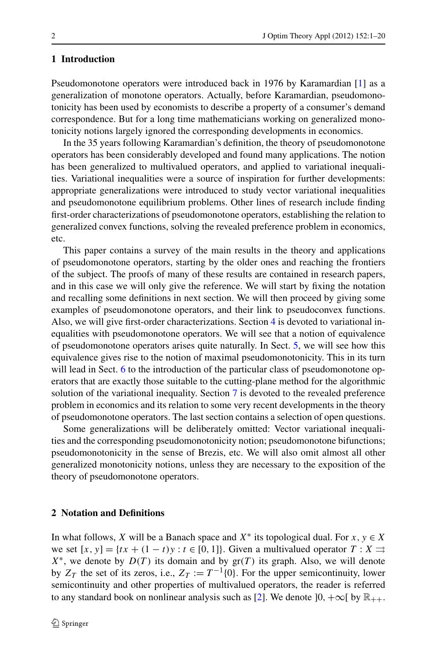## **1 Introduction**

Pseudomonotone operators were introduced back in 1976 by Karamardian [[1\]](#page-18-0) as a generalization of monotone operators. Actually, before Karamardian, pseudomonotonicity has been used by economists to describe a property of a consumer's demand correspondence. But for a long time mathematicians working on generalized monotonicity notions largely ignored the corresponding developments in economics.

In the 35 years following Karamardian's definition, the theory of pseudomonotone operators has been considerably developed and found many applications. The notion has been generalized to multivalued operators, and applied to variational inequalities. Variational inequalities were a source of inspiration for further developments: appropriate generalizations were introduced to study vector variational inequalities and pseudomonotone equilibrium problems. Other lines of research include finding first-order characterizations of pseudomonotone operators, establishing the relation to generalized convex functions, solving the revealed preference problem in economics, etc.

This paper contains a survey of the main results in the theory and applications of pseudomonotone operators, starting by the older ones and reaching the frontiers of the subject. The proofs of many of these results are contained in research papers, and in this case we will only give the reference. We will start by fixing the notation and recalling some definitions in next section. We will then proceed by giving some examples of pseudomonotone operators, and their link to pseudoconvex functions. Also, we will give first-order characterizations. Section [4](#page-4-0) is devoted to variational inequalities with pseudomonotone operators. We will see that a notion of equivalence of pseudomonotone operators arises quite naturally. In Sect. [5,](#page-7-0) we will see how this equivalence gives rise to the notion of maximal pseudomonotonicity. This in its turn will lead in Sect. [6](#page-12-0) to the introduction of the particular class of pseudomonotone operators that are exactly those suitable to the cutting-plane method for the algorithmic solution of the variational inequality. Section [7](#page-15-0) is devoted to the revealed preference problem in economics and its relation to some very recent developments in the theory of pseudomonotone operators. The last section contains a selection of open questions.

<span id="page-1-0"></span>Some generalizations will be deliberately omitted: Vector variational inequalities and the corresponding pseudomonotonicity notion; pseudomonotone bifunctions; pseudomonotonicity in the sense of Brezis, etc. We will also omit almost all other generalized monotonicity notions, unless they are necessary to the exposition of the theory of pseudomonotone operators.

## **2 Notation and Definitions**

In what follows, *X* will be a Banach space and  $X^*$  its topological dual. For  $x, y \in X$ we set  $[x, y] = {tx + (1 - t)y : t \in [0, 1]}$ . Given a multivalued operator  $T : X \rightrightarrows$  $X^*$ , we denote by  $D(T)$  its domain and by  $gr(T)$  its graph. Also, we will denote by  $Z_T$  the set of its zeros, i.e.,  $Z_T := T^{-1}\{0\}$ . For the upper semicontinuity, lower semicontinuity and other properties of multivalued operators, the reader is referred to any standard book on nonlinear analysis such as [\[2](#page-18-1)]. We denote  $[0, +\infty[$  by  $\mathbb{R}_{++}$ .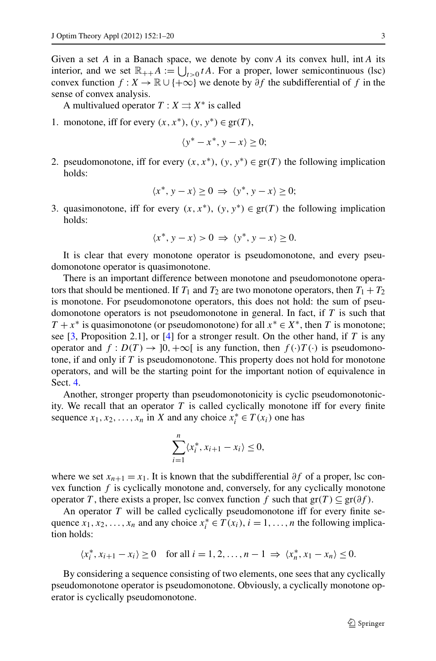Given a set *A* in a Banach space, we denote by conv*A* its convex hull, int*A* its interior, and we set  $\mathbb{R}_{++}A := \bigcup_{t>0} tA$ . For a proper, lower semicontinuous (lsc) convex function  $f: X \to \mathbb{R} \cup \{+\infty\}$  we denote by  $\partial f$  the subdifferential of f in the sense of convex analysis.

A multivalued operator  $T : X \rightrightarrows X^*$  is called

1. monotone, iff for every  $(x, x^*)$ ,  $(y, y^*) \in \text{gr}(T)$ ,

$$
\langle y^* - x^*, y - x \rangle \ge 0;
$$

2. pseudomonotone, iff for every  $(x, x^*)$ ,  $(y, y^*) \in \text{gr}(T)$  the following implication holds:

$$
\langle x^*, y - x \rangle \ge 0 \implies \langle y^*, y - x \rangle \ge 0;
$$

3. quasimonotone, iff for every  $(x, x^*)$ ,  $(y, y^*) \in \text{gr}(T)$  the following implication holds:

$$
\langle x^*, y - x \rangle > 0 \implies \langle y^*, y - x \rangle \ge 0.
$$

It is clear that every monotone operator is pseudomonotone, and every pseudomonotone operator is quasimonotone.

There is an important difference between monotone and pseudomonotone operators that should be mentioned. If  $T_1$  and  $T_2$  are two monotone operators, then  $T_1 + T_2$ is monotone. For pseudomonotone operators, this does not hold: the sum of pseudomonotone operators is not pseudomonotone in general. In fact, if *T* is such that *T* + *x*<sup>\*</sup> is quasimonotone (or pseudomonotone) for all  $x$ <sup>\*</sup>  $\in$  *X*<sup>\*</sup>, then *T* is monotone; see [\[3](#page-18-2), Proposition 2.1], or [\[4](#page-18-3)] for a stronger result. On the other hand, if *T* is any operator and  $f: D(T) \to [0, +\infty[$  is any function, then  $f(\cdot)T(\cdot)$  is pseudomonotone, if and only if *T* is pseudomonotone. This property does not hold for monotone operators, and will be the starting point for the important notion of equivalence in Sect. [4.](#page-4-0)

Another, stronger property than pseudomonotonicity is cyclic pseudomonotonicity. We recall that an operator *T* is called cyclically monotone iff for every finite sequence  $x_1, x_2, \ldots, x_n$  in *X* and any choice  $x_i^* \in T(x_i)$  one has

$$
\sum_{i=1}^{n} \langle x_i^*, x_{i+1} - x_i \rangle \le 0,
$$

where we set  $x_{n+1} = x_1$ . It is known that the subdifferential  $\partial f$  of a proper, lsc convex function *f* is cyclically monotone and, conversely, for any cyclically monotone operator *T*, there exists a proper, lsc convex function *f* such that  $gr(T) \subseteq gr(\partial f)$ .

An operator *T* will be called cyclically pseudomonotone iff for every finite sequence  $x_1, x_2, ..., x_n$  and any choice  $x_i^* \in T(x_i), i = 1, ..., n$  the following implication holds:

$$
\langle x_i^*, x_{i+1} - x_i \rangle \ge 0 \quad \text{for all } i = 1, 2, \dots, n-1 \implies \langle x_n^*, x_1 - x_n \rangle \le 0.
$$

By considering a sequence consisting of two elements, one sees that any cyclically pseudomonotone operator is pseudomonotone. Obviously, a cyclically monotone operator is cyclically pseudomonotone.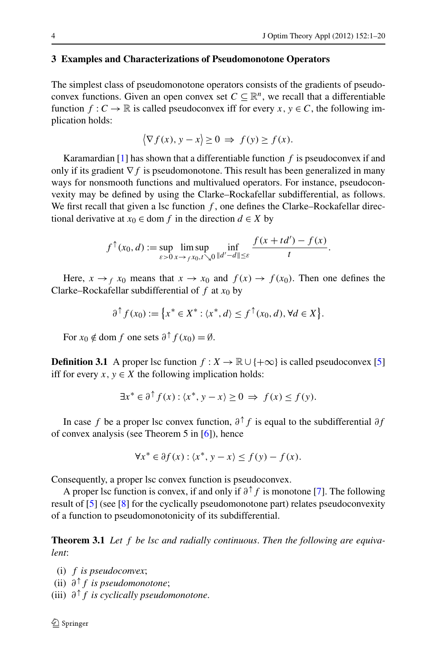## **3 Examples and Characterizations of Pseudomonotone Operators**

The simplest class of pseudomonotone operators consists of the gradients of pseudoconvex functions. Given an open convex set  $C \subseteq \mathbb{R}^n$ , we recall that a differentiable function  $f: C \to \mathbb{R}$  is called pseudoconvex iff for every  $x, y \in C$ , the following implication holds:

$$
\langle \nabla f(x), y - x \rangle \ge 0 \implies f(y) \ge f(x).
$$

Karamardian  $[1]$  $[1]$  has shown that a differentiable function  $f$  is pseudoconvex if and only if its gradient ∇*f* is pseudomonotone. This result has been generalized in many ways for nonsmooth functions and multivalued operators. For instance, pseudoconvexity may be defined by using the Clarke–Rockafellar subdifferential, as follows. We first recall that given a lsc function  $f$ , one defines the Clarke–Rockafellar directional derivative at  $x_0 \in \text{dom } f$  in the direction  $d \in X$  by

$$
f^{\uparrow}(x_0, d) := \sup_{\varepsilon > 0} \limsup_{x \to f(x_0, t \searrow 0)} \inf_{\|d' - d\| \le \varepsilon} \frac{f(x + td') - f(x)}{t}.
$$

Here,  $x \rightarrow f x_0$  means that  $x \rightarrow x_0$  and  $f(x) \rightarrow f(x_0)$ . Then one defines the Clarke–Rockafellar subdifferential of  $f$  at  $x_0$  by

$$
\partial^{\uparrow} f(x_0) := \left\{ x^* \in X^* : \langle x^*, d \rangle \le f^{\uparrow}(x_0, d), \forall d \in X \right\}.
$$

For  $x_0 \notin \text{dom } f$  one sets  $\partial^{\uparrow} f(x_0) = \emptyset$ .

**Definition 3.1** A proper lsc function  $f: X \to \mathbb{R} \cup \{+\infty\}$  is called pseudoconvex [\[5](#page-18-4)] iff for every  $x, y \in X$  the following implication holds:

$$
\exists x^* \in \partial^{\uparrow} f(x) : \langle x^*, y - x \rangle \ge 0 \implies f(x) \le f(y).
$$

In case *f* be a proper lsc convex function, *∂*↑*f* is equal to the subdifferential *∂f* of convex analysis (see Theorem 5 in [[6\]](#page-18-5)), hence

$$
\forall x^* \in \partial f(x) : \langle x^*, y - x \rangle \le f(y) - f(x).
$$

Consequently, a proper lsc convex function is pseudoconvex.

A proper lsc function is convex, if and only if *∂*↑*f* is monotone [\[7](#page-19-0)]. The following result of [\[5](#page-18-4)] (see [\[8](#page-19-1)] for the cyclically pseudomonotone part) relates pseudoconvexity of a function to pseudomonotonicity of its subdifferential.

**Theorem 3.1** *Let f be lsc and radially continuous*. *Then the following are equivalent*:

- (i) *f is pseudoconvex*;
- (ii) *∂*↑*f is pseudomonotone*;
- (iii) *∂*↑*f is cyclically pseudomonotone*.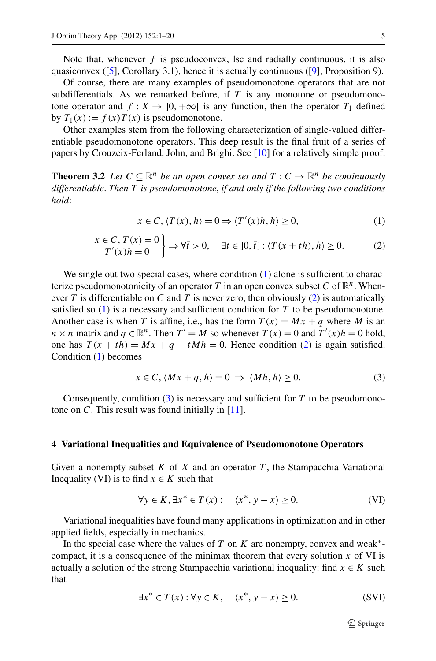Note that, whenever *f* is pseudoconvex, lsc and radially continuous, it is also quasiconvex  $([5]$  $([5]$  $([5]$ , Corollary 3.1), hence it is actually continuous  $([9]$  $([9]$ , Proposition 9).

<span id="page-4-6"></span>Of course, there are many examples of pseudomonotone operators that are not subdifferentials. As we remarked before, if *T* is any monotone or pseudomonotone operator and  $f: X \to [0, +\infty[$  is any function, then the operator  $T_1$  defined by  $T_1(x) := f(x)T(x)$  is pseudomonotone.

Other examples stem from the following characterization of single-valued differentiable pseudomonotone operators. This deep result is the final fruit of a series of papers by Crouzeix-Ferland, John, and Brighi. See [\[10](#page-19-3)] for a relatively simple proof.

**Theorem 3.2** *Let*  $C \subseteq \mathbb{R}^n$  *be an open convex set and*  $T : C \to \mathbb{R}^n$  *be continuously differentiable*. *Then T is pseudomonotone*, *if and only if the following two conditions hold*:

<span id="page-4-3"></span><span id="page-4-2"></span><span id="page-4-1"></span>
$$
x \in C, \langle T(x), h \rangle = 0 \Rightarrow \langle T'(x)h, h \rangle \ge 0,
$$
\n<sup>(1)</sup>

$$
\begin{aligned}\nx \in C, T(x) = 0 \\
T'(x)h = 0\n\end{aligned}\n\Rightarrow \forall \bar{t} > 0, \quad \exists t \in [0, \bar{t}]: \langle T(x + th), h \rangle \ge 0.
$$
\n<sup>(2)</sup>

We single out two special cases, where condition  $(1)$  $(1)$  alone is sufficient to characterize pseudomonotonicity of an operator *T* in an open convex subset *C* of  $\mathbb{R}^n$ . Whenever  $T$  is differentiable on  $C$  and  $T$  is never zero, then obviously  $(2)$  $(2)$  is automatically satisfied so [\(1](#page-4-1)) is a necessary and sufficient condition for *T* to be pseudomonotone. Another case is when *T* is affine, i.e., has the form  $T(x) = Mx + q$  where *M* is an *n* × *n* matrix and  $q \in \mathbb{R}^n$ . Then  $T' = M$  so whenever  $T(x) = 0$  and  $T'(x)h = 0$  hold, one has  $T(x + th) = Mx + q + tMh = 0$ . Hence condition [\(2](#page-4-2)) is again satisfied. Condition [\(1](#page-4-1)) becomes

<span id="page-4-4"></span><span id="page-4-0"></span>
$$
x \in C, \langle Mx + q, h \rangle = 0 \implies \langle Mh, h \rangle \ge 0. \tag{3}
$$

Consequently, condition [\(3](#page-4-3)) is necessary and sufficient for *T* to be pseudomonotone on *C*. This result was found initially in [\[11](#page-19-4)].

#### **4 Variational Inequalities and Equivalence of Pseudomonotone Operators**

Given a nonempty subset  $K$  of  $X$  and an operator  $T$ , the Stampacchia Variational Inequality (VI) is to find  $x \in K$  such that

<span id="page-4-5"></span>
$$
\forall y \in K, \exists x^* \in T(x): \quad \langle x^*, y - x \rangle \ge 0. \tag{VI}
$$

Variational inequalities have found many applications in optimization and in other applied fields, especially in mechanics.

In the special case where the values of *T* on *K* are nonempty, convex and weak∗ compact, it is a consequence of the minimax theorem that every solution *x* of VI is actually a solution of the strong Stampacchia variational inequality: find  $x \in K$  such that

$$
\exists x^* \in T(x) : \forall y \in K, \quad \langle x^*, y - x \rangle \ge 0. \tag{SVI}
$$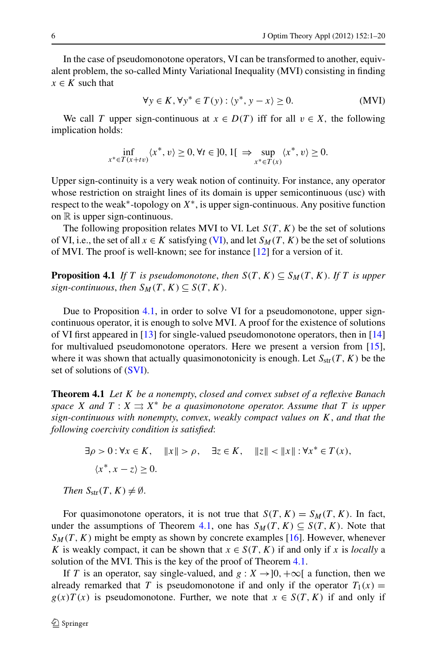In the case of pseudomonotone operators, VI can be transformed to another, equivalent problem, the so-called Minty Variational Inequality (MVI) consisting in finding  $x \in K$  such that

$$
\forall y \in K, \forall y^* \in T(y) : \langle y^*, y - x \rangle \ge 0. \tag{MVI}
$$

We call *T* upper sign-continuous at  $x \in D(T)$  iff for all  $v \in X$ , the following implication holds:

$$
\inf_{x^* \in T(x+tv)} \langle x^*, v \rangle \ge 0, \forall t \in ]0, 1[ \Rightarrow \sup_{x^* \in T(x)} \langle x^*, v \rangle \ge 0.
$$

<span id="page-5-0"></span>Upper sign-continuity is a very weak notion of continuity. For instance, any operator whose restriction on straight lines of its domain is upper semicontinuous (usc) with respect to the weak∗-topology on *X*∗, is upper sign-continuous. Any positive function on  $\mathbb R$  is upper sign-continuous.

The following proposition relates MVI to VI. Let  $S(T, K)$  be the set of solutions of VI, i.e., the set of all  $x \in K$  satisfying [\(VI\)](#page-4-4), and let  $S_M(T, K)$  be the set of solutions of MVI. The proof is well-known; see for instance [\[12](#page-19-5)] for a version of it.

**Proposition 4.1** *If T is pseudomonotone, then*  $S(T, K) \subseteq S_M(T, K)$ . *If T is upper sign-continuous, then*  $S_M(T, K) \subseteq S(T, K)$ .

<span id="page-5-1"></span>Due to Proposition [4.1](#page-5-0), in order to solve VI for a pseudomonotone, upper signcontinuous operator, it is enough to solve MVI. A proof for the existence of solutions of VI first appeared in [[13\]](#page-19-6) for single-valued pseudomonotone operators, then in [\[14](#page-19-7)] for multivalued pseudomonotone operators. Here we present a version from [[15\]](#page-19-8), where it was shown that actually quasimonotonicity is enough. Let  $S<sub>str</sub>(T, K)$  be the set of solutions of ([SVI\)](#page-4-5).

**Theorem 4.1** *Let K be a nonempty*, *closed and convex subset of a reflexive Banach space X and*  $T : X \rightrightarrows X^*$  *be a quasimonotone operator. Assume that T is upper sign-continuous with nonempty*, *convex*, *weakly compact values on K*, *and that the following coercivity condition is satisfied*:

$$
\exists \rho > 0: \forall x \in K, \quad \|x\| > \rho, \quad \exists z \in K, \quad \|z\| < \|x\|: \forall x^* \in T(x),
$$
\n
$$
\langle x^*, x - z \rangle \ge 0.
$$

*Then*  $S_{\text{str}}(T, K) \neq \emptyset$ .

For quasimonotone operators, it is not true that  $S(T, K) = S_M(T, K)$ . In fact, under the assumptions of Theorem [4.1](#page-5-1), one has  $S_M(T, K) \subseteq S(T, K)$ . Note that  $S_M(T, K)$  might be empty as shown by concrete examples [\[16](#page-19-9)]. However, whenever *K* is weakly compact, it can be shown that  $x \in S(T, K)$  if and only if *x* is *locally* a solution of the MVI. This is the key of the proof of Theorem [4.1](#page-5-1).

If *T* is an operator, say single-valued, and  $g: X \rightarrow ]0, +\infty[$  a function, then we already remarked that *T* is pseudomonotone if and only if the operator  $T_1(x)$  =  $g(x)T(x)$  is pseudomonotone. Further, we note that  $x \in S(T, K)$  if and only if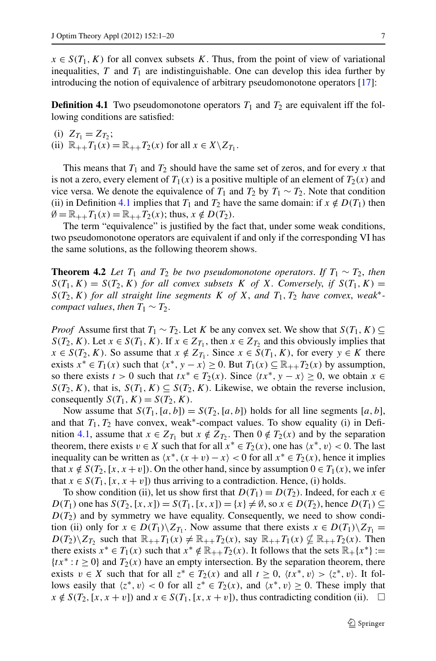<span id="page-6-0"></span> $x \in S(T_1, K)$  for all convex subsets *K*. Thus, from the point of view of variational inequalities,  $T$  and  $T_1$  are indistinguishable. One can develop this idea further by introducing the notion of equivalence of arbitrary pseudomonotone operators [\[17](#page-19-10)]:

**Definition 4.1** Two pseudomonotone operators  $T_1$  and  $T_2$  are equivalent iff the following conditions are satisfied:

(i) 
$$
Z_{T_1} = Z_{T_2}
$$
;  
(ii)  $\mathbb{R}_{++}T_1(x) = \mathbb{R}_{++}T_2(x)$  for all  $x \in X \setminus Z_{T_1}$ .

This means that  $T_1$  and  $T_2$  should have the same set of zeros, and for every x that is not a zero, every element of  $T_1(x)$  is a positive multiple of an element of  $T_2(x)$  and vice versa. We denote the equivalence of  $T_1$  and  $T_2$  by  $T_1 \sim T_2$ . Note that condition (ii) in Definition [4.1](#page-6-0) implies that  $T_1$  and  $T_2$  have the same domain: if  $x \notin D(T_1)$  then  $\emptyset = \mathbb{R}_{++}T_1(x) = \mathbb{R}_{++}T_2(x)$ ; thus,  $x \notin D(T_2)$ .

The term "equivalence" is justified by the fact that, under some weak conditions, two pseudomonotone operators are equivalent if and only if the corresponding VI has the same solutions, as the following theorem shows.

**Theorem 4.2** *Let*  $T_1$  *and*  $T_2$  *be two pseudomonotone operators. If*  $T_1 \sim T_2$ *, then*  $S(T_1, K) = S(T_2, K)$  *for all convex subsets K of X. Conversely, if*  $S(T_1, K) =$ *S(T*2*,K) for all straight line segments K of X*, *and T*1*,T*<sup>2</sup> *have convex*, *weak*∗ *compact values, then*  $T_1 \sim T_2$ .

*Proof* Assume first that  $T_1 \sim T_2$ . Let *K* be any convex set. We show that  $S(T_1, K) \subseteq$ *S*(*T*<sub>2</sub>*, K*). Let *x* ∈ *S*(*T*<sub>1</sub>*, K*). If *x* ∈ *Z*<sub>*T*<sub>1</sub></sub>, then *x* ∈ *Z*<sub>*T*<sub>2</sub></sub> and this obviously implies that *x* ∈ *S*(*T*<sub>2</sub>*, K*). So assume that *x* ∉ *Z*<sub>*T*<sub>1</sub></sub>. Since *x* ∈ *S*(*T*<sub>1</sub>*, K*), for every *y* ∈ *K* there exists  $x^*$  ∈ *T*<sub>1</sub>(*x*) such that  $\langle x^*, y - x \rangle \ge 0$ . But *T*<sub>1</sub>(*x*) ⊆ ℝ<sub>++</sub>*T*<sub>2</sub>(*x*) by assumption, so there exists  $t > 0$  such that  $tx^* \in T_2(x)$ . Since  $\langle tx^*, y - x \rangle \ge 0$ , we obtain  $x \in$  $S(T_2, K)$ , that is,  $S(T_1, K) \subseteq S(T_2, K)$ . Likewise, we obtain the reverse inclusion, consequently  $S(T_1, K) = S(T_2, K)$ .

Now assume that  $S(T_1, [a, b]) = S(T_2, [a, b])$  holds for all line segments  $[a, b]$ , and that  $T_1, T_2$  have convex, weak<sup>\*</sup>-compact values. To show equality (i) in Defi-nition [4.1,](#page-6-0) assume that  $x \in Z_{T_1}$  but  $x \notin Z_{T_2}$ . Then  $0 \notin T_2(x)$  and by the separation theorem, there exists  $v \in X$  such that for all  $x^* \in T_2(x)$ , one has  $\langle x^*, v \rangle < 0$ . The last inequality can be written as  $\langle x^*, (x + v) - x \rangle < 0$  for all  $x^* \in T_2(x)$ , hence it implies that  $x \notin S(T_2, [x, x + v])$ . On the other hand, since by assumption  $0 \in T_1(x)$ , we infer that  $x \in S(T_1, [x, x + v])$  thus arriving to a contradiction. Hence, (i) holds.

To show condition (ii), let us show first that  $D(T_1) = D(T_2)$ . Indeed, for each  $x \in$ *D*(*T*<sub>1</sub>)</sub> one has *S*(*T*<sub>2</sub>*,*[*x,x*]) = *S*(*T*<sub>1</sub>*,*[*x<sub></sub>,x*]) = {*x*} ≠ Ø*,* so *x* ∈ *D*(*T*<sub>2</sub>)*,* hence *D*(*T*<sub>1</sub>) ⊆  $D(T_2)$  and by symmetry we have equality. Consequently, we need to show condition (ii) only for  $x \in D(T_1) \setminus Z_{T_1}$ . Now assume that there exists  $x \in D(T_1) \setminus Z_{T_1} =$  $D(T_2) \setminus Z_{T_2}$  such that  $\mathbb{R}_{++}T_1(x) \neq \mathbb{R}_{++}T_2(x)$ , say  $\mathbb{R}_{++}T_1(x) \nsubseteq \mathbb{R}_{++}T_2(x)$ . Then there exists  $x^* \in T_1(x)$  such that  $x^* \notin \mathbb{R}_{++}T_2(x)$ . It follows that the sets  $\mathbb{R}_+[x^*]:=$  $\{tx^*: t \geq 0\}$  and  $T_2(x)$  have an empty intersection. By the separation theorem, there exists *v* ∈ *X* such that for all  $z^*$  ∈  $T_2(x)$  and all  $t ≥ 0$ ,  $\langle tx^*, v \rangle > \langle z^*, v \rangle$ . It follows easily that  $\langle z^*, v \rangle < 0$  for all  $z^* \in T_2(x)$ , and  $\langle x^*, v \rangle \ge 0$ . These imply that  $x \notin S(T_2, [x, x + v])$  and  $x \in S(T_1, [x, x + v])$ , thus contradicting condition (ii).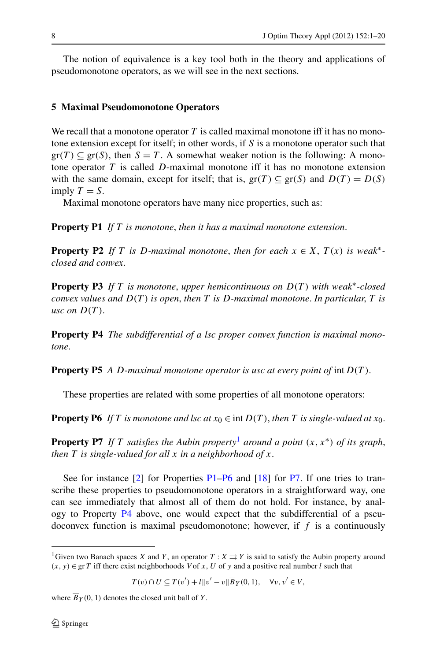<span id="page-7-0"></span>The notion of equivalence is a key tool both in the theory and applications of pseudomonotone operators, as we will see in the next sections.

#### **5 Maximal Pseudomonotone Operators**

<span id="page-7-6"></span><span id="page-7-2"></span>We recall that a monotone operator *T* is called maximal monotone iff it has no monotone extension except for itself; in other words, if *S* is a monotone operator such that  $gr(T) \subseteq gr(S)$ , then  $S = T$ . A somewhat weaker notion is the following: A monotone operator *T* is called *D*-maximal monotone iff it has no monotone extension with the same domain, except for itself; that is,  $gr(T) \subseteq gr(S)$  and  $D(T) = D(S)$ imply  $T = S$ .

<span id="page-7-7"></span>Maximal monotone operators have many nice properties, such as:

**Property P1** *If T is monotone*, *then it has a maximal monotone extension*.

<span id="page-7-5"></span>**Property P2** *If T is D-maximal monotone, then for each*  $x \in X$ ,  $T(x)$  *is weak*<sup>\*</sup>*closed and convex*.

<span id="page-7-8"></span>**Property P3** *If T is monotone*, *upper hemicontinuous on D(T ) with weak*∗*-closed convex values and D(T ) is open*, *then T is D-maximal monotone*. *In particular*, *T is usc on*  $D(T)$ .

<span id="page-7-4"></span><span id="page-7-3"></span>**Property P4** *The subdifferential of a lsc proper convex function is maximal monotone*.

**Property P5** *A D-maximal monotone operator is usc at every point of* int *D(T )*.

These properties are related with some properties of all monotone operators:

**Property P6** *If T is monotone and lsc at*  $x_0 \in \text{int } D(T)$ *, then T is single-valued at*  $x_0$ *.* 

**Property P7** If *T* satisfies the Aubin property<sup>[1](#page-7-1)</sup> around a point  $(x, x^*)$  of its graph, *then T is single-valued for all x in a neighborhood of x*.

<span id="page-7-1"></span>See for instance [[2\]](#page-18-1) for Properties [P1](#page-7-2)–[P6](#page-7-3) and [[18\]](#page-19-11) for [P7.](#page-7-4) If one tries to transcribe these properties to pseudomonotone operators in a straightforward way, one can see immediately that almost all of them do not hold. For instance, by analogy to Property [P4](#page-7-5) above, one would expect that the subdifferential of a pseudoconvex function is maximal pseudomonotone; however, if *f* is a continuously

 $T(v) \cap U \subseteq T(v') + l || v' - v || \overline{B}_Y(0, 1), \quad \forall v, v' \in V,$ 

where  $\overline{B}_Y(0, 1)$  denotes the closed unit ball of *Y*.

<sup>&</sup>lt;sup>1</sup>Given two Banach spaces *X* and *Y*, an operator  $T : X \rightrightarrows Y$  is said to satisfy the Aubin property around  $(x, y) \in \text{gr } T$  iff there exist neighborhoods *V* of *x*, *U* of *y* and a positive real number *l* such that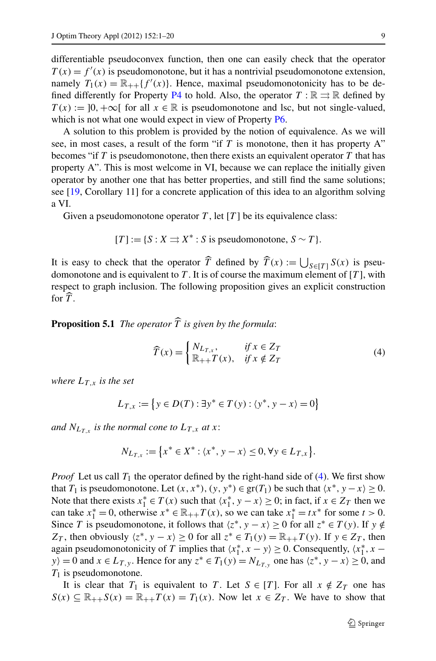differentiable pseudoconvex function, then one can easily check that the operator  $T(x) = f'(x)$  is pseudomonotone, but it has a nontrivial pseudomonotone extension, namely  $T_1(x) = \mathbb{R}_{++} \{f'(x)\}\)$ . Hence, maximal pseudomonotonicity has to be de-fined differently for Property [P4](#page-7-5) to hold. Also, the operator  $T : \mathbb{R} \rightrightarrows \mathbb{R}$  defined by  $T(x) := ]0, +\infty[$  for all  $x \in \mathbb{R}$  is pseudomonotone and lsc, but not single-valued, which is not what one would expect in view of Property  $P6$ .

A solution to this problem is provided by the notion of equivalence. As we will see, in most cases, a result of the form "if *T* is monotone, then it has property A" becomes "if *T* is pseudomonotone, then there exists an equivalent operator *T* that has property A". This is most welcome in VI, because we can replace the initially given operator by another one that has better properties, and still find the same solutions; see [[19,](#page-19-12) Corollary 11] for a concrete application of this idea to an algorithm solving a VI.

Given a pseudomonotone operator  $T$ , let  $[T]$  be its equivalence class:

$$
[T] := \{ S : X \rightrightarrows X^* : S \text{ is pseudomonotone, } S \sim T \}.
$$

It is easy to check that the operator *T* defined by  $T(x) := \bigcup_{S \in [T]} S(x)$  is pseu-<br>domainton and is equivalent to *T*. It is of course the maximum element of [*T*], with domonotone and is equivalent to *T* . It is of course the maximum element of [*T* ], with respect to graph inclusion. The following proposition gives an explicit construction for  $T$ .

**Proposition 5.1** *The operator T is given by the formula*:

<span id="page-8-0"></span>
$$
\widehat{T}(x) = \begin{cases}\nN_{L_{T,x}}, & \text{if } x \in Z_T \\
\mathbb{R}_{++}T(x), & \text{if } x \notin Z_T\n\end{cases}\n\tag{4}
$$

*where*  $L_{T,x}$  *is the set* 

$$
L_{T,x} := \{ y \in D(T) : \exists y^* \in T(y) : \langle y^*, y - x \rangle = 0 \}
$$

*and*  $N_{L_{T,x}}$  *is the normal cone to*  $L_{T,x}$  *at x*:

$$
N_{L_{T,x}} := \{ x^* \in X^* : \langle x^*, y - x \rangle \le 0, \forall y \in L_{T,x} \}.
$$

*Proof* Let us call  $T_1$  the operator defined by the right-hand side of [\(4](#page-8-0)). We first show that *T*<sub>1</sub> is pseudomonotone. Let  $(x, x^*)$ ,  $(y, y^*) \in \text{gr}(T_1)$  be such that  $\langle x^*, y - x \rangle \ge 0$ . Note that there exists  $x_1^* \in T(x)$  such that  $\langle x_1^*, y - x \rangle \ge 0$ ; in fact, if  $x \in Z_T$  then we can take  $x_1^* = 0$ , otherwise  $x^* \in \mathbb{R}_{++}T(x)$ , so we can take  $x_1^* = tx^*$  for some  $t > 0$ . Since *T* is pseudomonotone, it follows that  $\langle z^*, y - x \rangle \ge 0$  for all  $z^* \in T(y)$ . If  $y \notin$ *Z<sub>T</sub>*, then obviously  $\langle z^*, y - x \rangle \ge 0$  for all  $z^* \in T_1(y) = \mathbb{R}_{++}T(y)$ . If  $y \in Z_T$ , then again pseudomonotonicity of *T* implies that  $\langle x_1^*, x - y \rangle \ge 0$ . Consequently,  $\langle x_1^*, x - y \rangle$ *y*) = 0 and *x* ∈ *L<sub>T,y</sub>*. Hence for any  $z^*$  ∈ *T*<sub>1</sub>(*y*) =  $N_{L_{T,y}}$  one has  $\langle z^*, y - x \rangle \ge 0$ , and *T*<sup>1</sup> is pseudomonotone.

It is clear that  $T_1$  is equivalent to  $T$ . Let  $S \in [T]$ . For all  $x \notin Z_T$  one has  $S(x) \subseteq \mathbb{R}_{++}S(x) = \mathbb{R}_{++}T(x) = T_1(x)$ . Now let  $x \in Z_T$ . We have to show that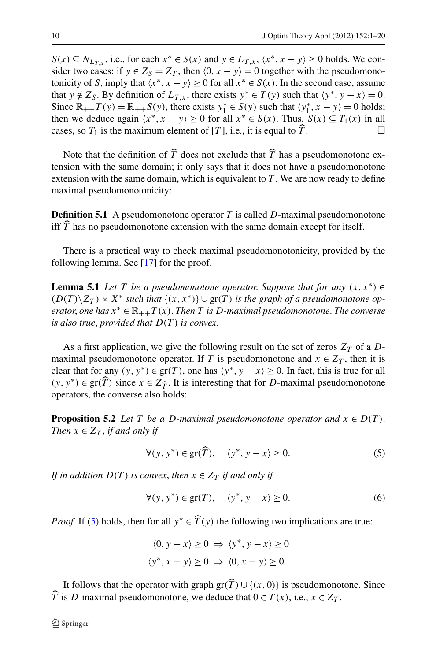*S(x)* ⊆ *N*<sub>*LT x</sub>*, i.e., for each  $x^*$  ∈ *S(x)* and  $y$  ∈ *L<sub>T,x</sub>*,  $\langle x^*, x - y \rangle \ge 0$  holds. We con-</sub> sider two cases: if  $y \in Z_S = Z_T$ , then  $\langle 0, x - y \rangle = 0$  together with the pseudomonotonicity of *S*, imply that  $\langle x^*, x - y \rangle \ge 0$  for all  $x^* \in S(x)$ . In the second case, assume that *y*  $\notin Z$ <sub>S</sub>. By definition of  $L_{T,x}$ , there exists  $y^* \in T(y)$  such that  $\langle y^*, y - x \rangle = 0$ . Since  $\mathbb{R}_{++}T(y) = \mathbb{R}_{++}S(y)$ , there exists  $y_1^* \in S(y)$  such that  $\langle y_1^*, x - y \rangle = 0$  holds; then we deduce again  $\langle x^*, x - y \rangle \ge 0$  for all  $x^* \in S(x)$ . Thus,  $S(x) \subseteq T_1(x)$  in all cases, so  $T_1$  is the maximum element of [*T*], i.e., it is equal to  $\hat{T}$ .  $\widehat{T}$ .

Note that the definition of  $T$  does not exclude that  $T$  has a pseudomonotone ex-<br>sion with the same domain: it only says that it does not have a pseudomonotone tension with the same domain; it only says that it does not have a pseudomonotone extension with the same domain, which is equivalent to *T* . We are now ready to define maximal pseudomonotonicity:

<span id="page-9-2"></span>**Definition 5.1** A pseudomonotone operator *T* is called *D*-maximal pseudomonotone iff *T* has no pseudomonotone extension with the same domain except for itself.

There is a practical way to check maximal pseudomonotonicity, provided by the following lemma. See [\[17](#page-19-10)] for the proof.

**Lemma 5.1** *Let T be a pseudomonotone operator. Suppose that for any*  $(x, x^*) \in$  $(D(T)\Z_T) \times X^*$  *such that*  ${(x, x^*)}$  ∪ gr(*T*) *is the graph of a pseudomonotone operator, one has*  $x^*$  ∈  $\mathbb{R}_{++}T(x)$ . *Then T is D-maximal pseudomonotone. The converse is also true*, *provided that D(T ) is convex*.

<span id="page-9-3"></span>As a first application, we give the following result on the set of zeros  $Z_T$  of a *D*maximal pseudomonotone operator. If *T* is pseudomonotone and  $x \in Z_T$ , then it is clear that for any  $(y, y^*) \in \text{gr}(T)$ , one has  $\langle y^*, y - x \rangle \ge 0$ . In fact, this is true for all  $(y, y^*)$  ∈ gr( $\hat{T}$ ) since  $x \in Z_{\hat{T}}$ . It is interesting that for *D*-maximal pseudomonotone operators the converse also holds: operators, the converse also holds:

**Proposition 5.2** *Let*  $T$  *be a D-maximal pseudomonotone operator and*  $x \in D(T)$ *. Then*  $x \in Z_T$ , *if and only if* 

<span id="page-9-1"></span><span id="page-9-0"></span>
$$
\forall (y, y^*) \in \text{gr}(\widehat{T}), \quad \langle y^*, y - x \rangle \ge 0. \tag{5}
$$

*If in addition*  $D(T)$  *is convex, then*  $x \in Z_T$  *if and only if* 

$$
\forall (y, y^*) \in \text{gr}(T), \quad \langle y^*, y - x \rangle \ge 0. \tag{6}
$$

*Proof* If [\(5](#page-9-0)) holds, then for all  $y^* \in \hat{T}(y)$  the following two implications are true:

$$
\langle 0, y - x \rangle \ge 0 \implies \langle y^*, y - x \rangle \ge 0
$$
  

$$
\langle y^*, x - y \rangle \ge 0 \implies \langle 0, x - y \rangle \ge 0.
$$

It follows that the operator with graph  $\text{gr}(\widehat{T}) \cup \{(x, 0)\}\$ is pseudomonotone. Since *T* is *D*-maximal pseudomonotone, we deduce that  $0 \in T(x)$ , i.e.,  $x \in Z_T$ .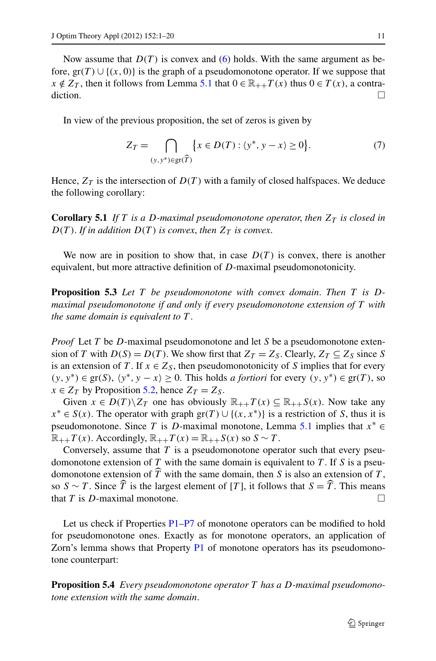Now assume that  $D(T)$  is convex and [\(6](#page-9-1)) holds. With the same argument as before,  $gr(T) \cup \{(x, 0)\}\$ is the graph of a pseudomonotone operator. If we suppose that *x* ∉  $Z_T$ , then it follows from Lemma [5.1](#page-9-2) that  $0 \in \mathbb{R}_{++}T(x)$  thus  $0 \in T(x)$ , a contra- $\Box$ 

In view of the previous proposition, the set of zeros is given by

$$
Z_T = \bigcap_{(y,y^*) \in \text{gr}(\widehat{T})} \{x \in D(T) : \langle y^*, y - x \rangle \ge 0\}.
$$
 (7)

Hence,  $Z_T$  is the intersection of  $D(T)$  with a family of closed halfspaces. We deduce the following corollary:

**Corollary 5.1** *If*  $T$  *is a D-maximal pseudomonotone operator, then*  $Z_T$  *is closed in D(T). If in addition D(T) is convex, then*  $Z_T$  *is convex.* 

We now are in position to show that, in case  $D(T)$  is convex, there is another equivalent, but more attractive definition of *D*-maximal pseudomonotonicity.

**Proposition 5.3** *Let T be pseudomonotone with convex domain*. *Then T is Dmaximal pseudomonotone if and only if every pseudomonotone extension of T with the same domain is equivalent to T* .

*Proof* Let *T* be *D*-maximal pseudomonotone and let *S* be a pseudomonotone extension of *T* with  $D(S) = D(T)$ . We show first that  $Z_T = Z_S$ . Clearly,  $Z_T \subseteq Z_S$  since *S* is an extension of *T*. If  $x \in Z_S$ , then pseudomonotonicity of *S* implies that for every *(y, y<sup>∗</sup>)* ∈ gr*(S)*,  $\langle y^*, y - x \rangle \ge 0$ . This holds *a fortiori* for every  $(y, y^*) \in \text{gr}(T)$ , so  $x \in Z_T$  by Proposition [5.2,](#page-9-3) hence  $Z_T = Z_S$ .

Given  $x \in D(T) \setminus Z_T$  one has obviously  $\mathbb{R}_{++}T(x) \subseteq \mathbb{R}_{++}S(x)$ . Now take any  $x^* \in S(x)$ . The operator with graph  $\text{gr}(T) \cup \{(x, x^*)\}$  is a restriction of *S*, thus it is pseudomonotone. Since *T* is *D*-maximal monotone, Lemma [5.1](#page-9-2) implies that  $x^* \in$  $\mathbb{R}_{++}T(x)$ . Accordingly,  $\mathbb{R}_{++}T(x) = \mathbb{R}_{++}S(x)$  so *S* ∼ *T*.

Conversely, assume that  $T$  is a pseudomonotone operator such that every pseudomonotone extension of *T* with the same domain is equivalent to *T* . If *S* is a pseudomonotone extension of *T* with the same domain, then *S* is also an extension of *T*,<br>so  $S \sim T$ , Since  $\hat{T}$  is the largest element of  $[T]$  it follows that  $S = \hat{T}$ . This means so *S* ∼ *T*. Since  $\overline{T}$  is the largest element of [*T*], it follows that *S* =  $\overline{T}$ . This means that *T* is *D*-maximal monotone.

Let us check if Properties [P1–](#page-7-2)[P7](#page-7-4) of monotone operators can be modified to hold for pseudomonotone ones. Exactly as for monotone operators, an application of Zorn's lemma shows that Property [P1](#page-7-2) of monotone operators has its pseudomonotone counterpart:

**Proposition 5.4** *Every pseudomonotone operator T has a D-maximal pseudomonotone extension with the same domain*.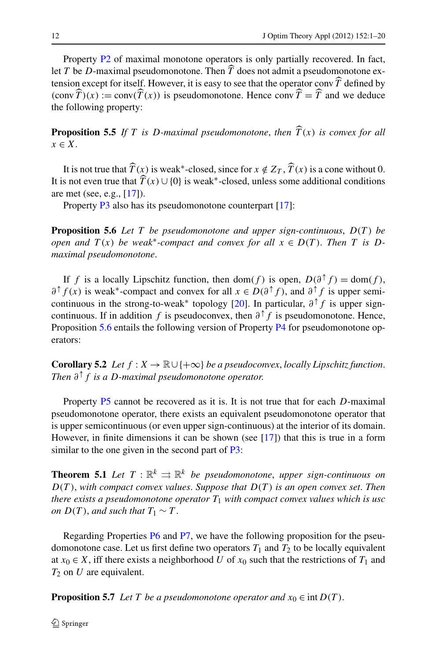Property P<sub>2</sub> of maximal monotone operators is only partially recovered. In fact, let *T* be *D*-maximal pseudomonotone. Then *T* does not admit a pseudomonotone ex-<br>tension except for itself. However, it is easy to see that the operator conv $\hat{T}$  defined by tension except for itself. However, it is easy to see that the operator conv T defined by<br>  $(\cos y \hat{T})(x) := \cos y(\hat{T}(x))$  is pseudomonotone. Hence  $\cos \hat{T} - \hat{T}$  and we deduce  $(\text{conv } T)(x) := \text{conv}(T(x))$  is pseudomonotone. Hence conv  $T = T$  and we deduce the following property: the following property:

<span id="page-11-0"></span>**Proposition 5.5** *If T is D-maximal pseudomonotone, then*  $\widehat{T}(x)$  *is convex for all x* ∈ *X*.

It is not true that  $\widehat{T}(x)$  is weak<sup>\*</sup>-closed, since for  $x \notin Z_T$ ,  $\widehat{T}(x)$  is a cone without 0. It is not even true that  $\hat{T}(x) \cup \{0\}$  is weak<sup>\*</sup>-closed, unless some additional conditions are met (see, e.g., [[17\]](#page-19-10)).

Property [P3](#page-7-7) also has its pseudomonotone counterpart [[17](#page-19-10)]:

**Proposition 5.6** *Let T be pseudomonotone and upper sign-continuous*, *D(T ) be open and*  $T(x)$  *be weak*<sup>\*</sup>-compact and convex for all  $x \in D(T)$ . Then *T* is *Dmaximal pseudomonotone*.

<span id="page-11-2"></span>If *f* is a locally Lipschitz function, then dom(*f*) is open,  $D(\partial \uparrow f) = \text{dom}(f)$ ,  $\partial^{\uparrow} f(x)$  is weak<sup>\*</sup>-compact and convex for all  $x \in D(\partial^{\uparrow} f)$ , and  $\partial^{\uparrow} f$  is upper semi-continuous in the strong-to-weak<sup>\*</sup> topology [\[20](#page-19-13)]. In particular,  $\partial^{\uparrow} f$  is upper signcontinuous. If in addition *f* is pseudoconvex, then  $\partial^{\uparrow} f$  is pseudomonotone. Hence, Proposition [5.6](#page-11-0) entails the following version of Property [P4](#page-7-5) for pseudomonotone operators:

**Corollary 5.2** *Let*  $f : X \to \mathbb{R} \cup \{+\infty\}$  *be a pseudoconvex, locally Lipschitz function. Then ∂*↑*f is a D-maximal pseudomonotone operator*.

<span id="page-11-3"></span>Property [P5](#page-7-8) cannot be recovered as it is. It is not true that for each *D*-maximal pseudomonotone operator, there exists an equivalent pseudomonotone operator that is upper semicontinuous (or even upper sign-continuous) at the interior of its domain. However, in finite dimensions it can be shown (see  $[17]$  $[17]$ ) that this is true in a form similar to the one given in the second part of  $P3$ :

**Theorem 5.1** *Let*  $T : \mathbb{R}^k \implies \mathbb{R}^k$  *be pseudomonotone, upper sign-continuous on D(T )*, *with compact convex values*. *Suppose that D(T ) is an open convex set*. *Then there exists a pseudomonotone operator T*<sup>1</sup> *with compact convex values which is usc on*  $D(T)$ *, and such that*  $T_1 \sim T$ *.* 

<span id="page-11-1"></span>Regarding Properties [P6](#page-7-3) and [P7](#page-7-4), we have the following proposition for the pseudomonotone case. Let us first define two operators  $T_1$  and  $T_2$  to be locally equivalent at  $x_0 \in X$ , iff there exists a neighborhood *U* of  $x_0$  such that the restrictions of  $T_1$  and *T*<sup>2</sup> on *U* are equivalent.

**Proposition 5.7** *Let T be a pseudomonotone operator and*  $x_0 \in \text{int } D(T)$ *.*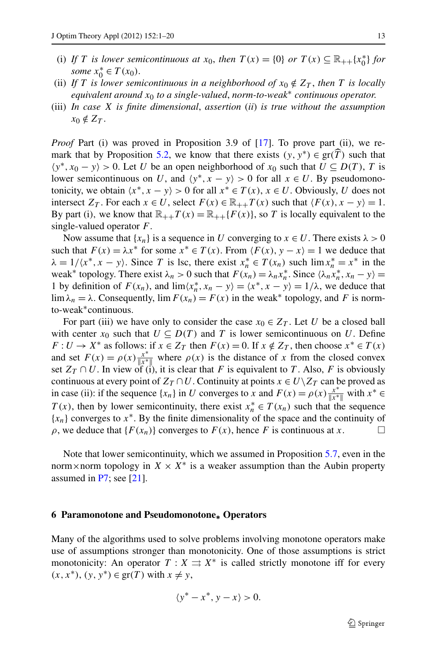- (i) If *T* is lower semicontinuous at  $x_0$ , then  $T(x) = \{0\}$  or  $T(x) \subseteq \mathbb{R}_{++} \{x_0^*\}$  for *some*  $x_0^*$  ∈  $T(x_0)$ .
- (ii) *If T* is lower semicontinuous in a neighborhood of  $x_0 \notin Z_T$ , then *T* is locally *equivalent around x*<sup>0</sup> *to a single-valued*, *norm-to-weak*<sup>∗</sup> *continuous operator*.
- (iii) *In case X is finite dimensional*, *assertion* (*ii*) *is true without the assumption*  $x_0 \notin Z_T$ .

*Proof* Part (i) was proved in Proposition 3.9 of [[17](#page-19-10)]. To prove part (ii), we re-mark that by Proposition [5.2](#page-9-3), we know that there exists  $(y, y^*) \in \text{gr}(T)$  such that  $\langle y^*, x_0 - y \rangle > 0$ . Let *U* be an open neighborhood of  $x_0$  such that  $U \subseteq D(T)$ , *T* is lower semicontinuous on *U*, and  $\langle y^*, x - y \rangle > 0$  for all  $x \in U$ . By pseudomonotonicity, we obtain  $\langle x^*, x - y \rangle > 0$  for all  $x^* \in T(x)$ ,  $x \in U$ . Obviously, *U* does not intersect  $Z_T$ . For each  $x \in U$ , select  $F(x) \in \mathbb{R}_{++}T(x)$  such that  $\langle F(x), x - y \rangle = 1$ . By part (i), we know that  $\mathbb{R}_{++}T(x) = \mathbb{R}_{++} \{F(x)\}\)$ , so T is locally equivalent to the single-valued operator *F*.

Now assume that  ${x_n}$  is a sequence in *U* converging to  $x \in U$ . There exists  $\lambda > 0$ such that  $F(x) = \lambda x^*$  for some  $x^* \in T(x)$ . From  $\langle F(x), y - x \rangle = 1$  we deduce that  $\lambda = 1/(x^*, x - y)$ . Since *T* is lsc, there exist  $x_n^* \in T(x_n)$  such lim $x_n^* = x^*$  in the weak\* topology. There exist  $\lambda_n > 0$  such that  $F(x_n) = \lambda_n x_n^*$ . Since  $\langle \lambda_n x_n^*, x_n - y \rangle =$ 1 by definition of  $F(x_n)$ , and  $\lim \langle x_n^*, x_n - y \rangle = \langle x^*, x - y \rangle = 1/\lambda$ , we deduce that lim  $\lambda_n = \lambda$ . Consequently, lim  $F(x_n) = F(x)$  in the weak\* topology, and *F* is normto-weak∗continuous.

For part (iii) we have only to consider the case  $x_0 \in Z_T$ . Let *U* be a closed ball with center  $x_0$  such that  $U \subseteq D(T)$  and T is lower semicontinuous on U. Define *F* : *U* → *X*<sup>\*</sup> as follows: if *x* ∈ *Z<sub>T</sub>* then *F(x)* = 0. If *x* ∉ *Z<sub>T</sub>*, then choose  $x$ <sup>\*</sup> ∈ *T(x)* and set  $F(x) = \rho(x) \frac{x^*}{\|x^*\|}$  where  $\rho(x)$  is the distance of *x* from the closed convex set  $Z_T \cap U$ . In view of (i), it is clear that *F* is equivalent to *T*. Also, *F* is obviously continuous at every point of  $Z_T \cap U$ . Continuity at points  $x \in U \setminus Z_T$  can be proved as in case (ii): if the sequence  $\{x_n\}$  in *U* converges to *x* and  $F(x) = \rho(x) \frac{x^*}{\|x^*\|}$  with  $x^* \in$ *T*(*x*), then by lower semicontinuity, there exist  $x_n^* \in T(x_n)$  such that the sequence {*xn*} converges to *x*∗. By the finite dimensionality of the space and the continuity of  $\rho$ , we deduce that  $\{F(x_n)\}$  converges to  $F(x)$ , hence *F* is continuous at *x*.

<span id="page-12-0"></span>Note that lower semicontinuity, which we assumed in Proposition [5.7](#page-11-1), even in the norm×norm topology in  $X \times X^*$  is a weaker assumption than the Aubin property assumed in [P7](#page-7-4); see [\[21](#page-19-14)].

#### **6 Paramonotone and Pseudomonotone∗ Operators**

Many of the algorithms used to solve problems involving monotone operators make use of assumptions stronger than monotonicity. One of those assumptions is strict monotonicity: An operator  $T : X \rightrightarrows X^*$  is called strictly monotone iff for every  $(x, x^*)$ ,  $(y, y^*) \in \text{gr}(T)$  with  $x \neq y$ ,

$$
\langle y^* - x^*, y - x \rangle > 0.
$$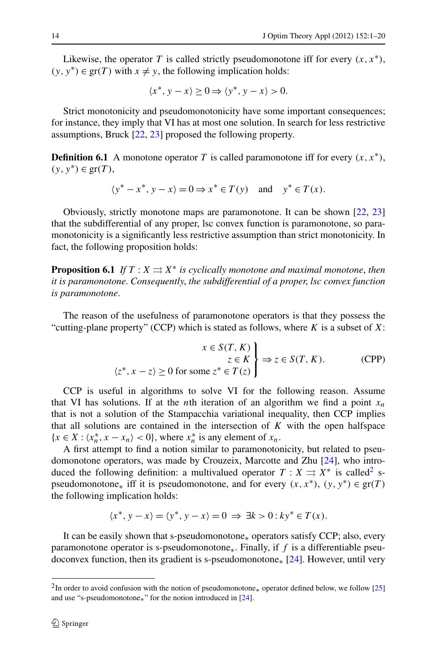Likewise, the operator *T* is called strictly pseudomonotone iff for every  $(x, x^*)$ ,  $(y, y^*) \in \text{gr}(T)$  with  $x \neq y$ , the following implication holds:

$$
\langle x^*, y - x \rangle \ge 0 \Rightarrow \langle y^*, y - x \rangle > 0.
$$

Strict monotonicity and pseudomonotonicity have some important consequences; for instance, they imply that VI has at most one solution. In search for less restrictive assumptions, Bruck [\[22](#page-19-15), [23](#page-19-16)] proposed the following property.

<span id="page-13-1"></span>**Definition 6.1** A monotone operator *T* is called paramonotone iff for every  $(x, x^*)$ ,  $(y, y^*)$  ∈ gr(*T*),

$$
\langle y^* - x^*, y - x \rangle = 0 \Rightarrow x^* \in T(y) \quad \text{and} \quad y^* \in T(x).
$$

Obviously, strictly monotone maps are paramonotone. It can be shown [\[22](#page-19-15), [23](#page-19-16)] that the subdifferential of any proper, lsc convex function is paramonotone, so paramonotonicity is a significantly less restrictive assumption than strict monotonicity. In fact, the following proposition holds:

**Proposition 6.1** *If*  $T : X \rightrightarrows X^*$  *is cyclically monotone and maximal monotone, then it is paramonotone*. *Consequently*, *the subdifferential of a proper*, *lsc convex function is paramonotone*.

The reason of the usefulness of paramonotone operators is that they possess the "cutting-plane property" (CCP) which is stated as follows, where *K* is a subset of *X*:

$$
\begin{aligned}\nx \in S(T, K) \\
z \in K \\
\langle z^*, x - z \rangle \ge 0 \text{ for some } z^* \in T(z)\n\end{aligned}\n\Rightarrow z \in S(T, K). \tag{CPP}
$$

CCP is useful in algorithms to solve VI for the following reason. Assume that VI has solutions. If at the *n*th iteration of an algorithm we find a point  $x_n$ that is not a solution of the Stampacchia variational inequality, then CCP implies that all solutions are contained in the intersection of *K* with the open halfspace  ${x \in X : \langle x_n^*, x - x_n \rangle} < 0$ , where  $x_n^*$  is any element of  $x_n$ .

A first attempt to find a notion similar to paramonotonicity, but related to pseudomonotone operators, was made by Crouzeix, Marcotte and Zhu [[24\]](#page-19-17), who introduced the following definition: a multivalued operator  $T : X \rightrightarrows X^*$  is called<sup>[2](#page-13-0)</sup> spseudomonotone<sub>\*</sub> iff it is pseudomonotone, and for every  $(x, x^*)$ ,  $(y, y^*) \in \text{gr}(T)$ the following implication holds:

$$
\langle x^*, y - x \rangle = \langle y^*, y - x \rangle = 0 \implies \exists k > 0 : ky^* \in T(x).
$$

<span id="page-13-0"></span>It can be easily shown that s-pseudomonotone∗ operators satisfy CCP; also, every paramonotone operator is s-pseudomonotone∗. Finally, if *f* is a differentiable pseudoconvex function, then its gradient is s-pseudomonotone∗ [[24\]](#page-19-17). However, until very

<sup>2</sup>In order to avoid confusion with the notion of pseudomonotone<sup>∗</sup> operator defined below, we follow [[25\]](#page-19-18) and use "s-pseudomonotone∗" for the notion introduced in [[24\]](#page-19-17).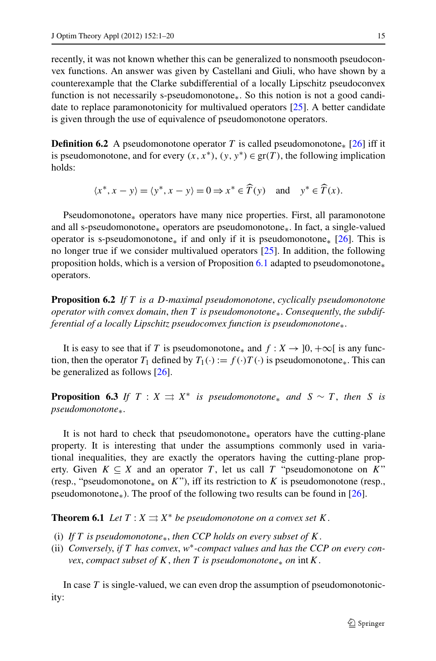recently, it was not known whether this can be generalized to nonsmooth pseudoconvex functions. An answer was given by Castellani and Giuli, who have shown by a counterexample that the Clarke subdifferential of a locally Lipschitz pseudoconvex function is not necessarily s-pseudomonotone∗. So this notion is not a good candidate to replace paramonotonicity for multivalued operators [[25\]](#page-19-18). A better candidate is given through the use of equivalence of pseudomonotone operators.

**Definition 6.2** A pseudomonotone operator *T* is called pseudomonotone<sub>\*</sub> [\[26](#page-19-19)] iff it is pseudomonotone, and for every  $(x, x^*)$ ,  $(y, y^*) \in \text{gr}(T)$ , the following implication holds:

$$
\langle x^*, x - y \rangle = \langle y^*, x - y \rangle = 0 \Rightarrow x^* \in \widehat{T}(y) \quad \text{and} \quad y^* \in \widehat{T}(x).
$$

<span id="page-14-0"></span>Pseudomonotone∗ operators have many nice properties. First, all paramonotone and all s-pseudomonotone∗ operators are pseudomonotone∗. In fact, a single-valued operator is s-pseudomonotone∗ if and only if it is pseudomonotone∗ [\[26\]](#page-19-19). This is no longer true if we consider multivalued operators [\[25](#page-19-18)]. In addition, the following proposition holds, which is a version of Proposition [6.1](#page-13-1) adapted to pseudomonotone $<sub>∗</sub>$ </sub> operators.

**Proposition 6.2** *If T is a D-maximal pseudomonotone*, *cyclically pseudomonotone operator with convex domain*, *then T is pseudomonotone*∗. *Consequently*, *the subdifferential of a locally Lipschitz pseudoconvex function is pseudomonotone*∗.

It is easy to see that if *T* is pseudomonotone<sub>\*</sub> and  $f: X \to [0, +\infty[$  is any function, then the operator  $T_1$  defined by  $T_1(\cdot) := f(\cdot)T(\cdot)$  is pseudomonotone<sub>\*</sub>. This can be generalized as follows [\[26](#page-19-19)].

**Proposition 6.3** *If*  $T : X \rightrightarrows X^*$  *is pseudomonotone*<sup>\*</sup> *and*  $S \sim T$ *, then S is pseudomonotone*∗.

It is not hard to check that pseudomonotone∗ operators have the cutting-plane property. It is interesting that under the assumptions commonly used in variational inequalities, they are exactly the operators having the cutting-plane property. Given  $K \subseteq X$  and an operator *T*, let us call *T* "pseudomonotone on *K*" (resp., "pseudomonotone∗ on *K*"), iff its restriction to *K* is pseudomonotone (resp., pseudomonotone∗). The proof of the following two results can be found in [[26\]](#page-19-19).

**Theorem 6.1** *Let*  $T : X \rightrightarrows X^*$  *be pseudomonotone on a convex set*  $K$ .

- (i) If  $T$  is pseudomonotone<sub>\*</sub>, then CCP holds on every subset of  $K$ .
- (ii) *Conversely*, *if T has convex*, *w*∗*-compact values and has the CCP on every convex, compact subset of*  $K$ *, then*  $T$  *is pseudomonotone* $*$  *on* int  $K$ *.*

In case *T* is single-valued, we can even drop the assumption of pseudomonotonicity: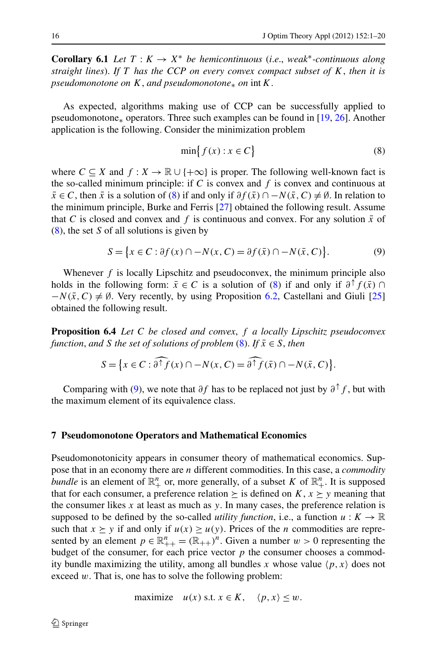**Corollary 6.1** *Let*  $T: K \to X^*$  *be hemicontinuous (i.e., weak*<sup>\*</sup>-continuous along *straight lines*). *If T has the CCP on every convex compact subset of K*, *then it is pseudomonotone on K*, *and pseudomonotone*<sup>∗</sup> *on* int*K*.

As expected, algorithms making use of CCP can be successfully applied to pseudomonotone∗ operators. Three such examples can be found in [[19,](#page-19-12) [26\]](#page-19-19). Another application is the following. Consider the minimization problem

<span id="page-15-2"></span><span id="page-15-1"></span>
$$
\min\{f(x) : x \in C\}
$$
 (8)

where  $C \subseteq X$  and  $f : X \to \mathbb{R} \cup \{+\infty\}$  is proper. The following well-known fact is the so-called minimum principle: if *C* is convex and *f* is convex and continuous at *x* ∈ *C*, then *x* is a solution of [\(8](#page-15-1)) if and only if  $\partial f(\bar{x})$  ∩ − *N*( $\bar{x}$ , *C*)  $\neq$  Ø. In relation to the minimum principle, Burke and Ferris [[27\]](#page-19-20) obtained the following result. Assume that *C* is closed and convex and *f* is continuous and convex. For any solution  $\bar{x}$  of [\(8](#page-15-1)), the set *S* of all solutions is given by

$$
S = \{x \in C : \partial f(x) \cap -N(x, C) = \partial f(\bar{x}) \cap -N(\bar{x}, C)\}.
$$
\n(9)

Whenever *f* is locally Lipschitz and pseudoconvex, the minimum principle also holds in the following form:  $\bar{x} \in C$  is a solution of [\(8](#page-15-1)) if and only if  $\partial^{\uparrow} f(\bar{x}) \cap C$  $-N(\bar{x}, C) \neq \emptyset$ . Very recently, by using Proposition [6.2,](#page-14-0) Castellani and Giuli [\[25](#page-19-18)] obtained the following result.

<span id="page-15-0"></span>**Proposition 6.4** *Let C be closed and convex*, *f a locally Lipschitz pseudoconvex function, and S the set of solutions of problem* [\(8](#page-15-1)). *If*  $\bar{x} \in S$ *, then* 

$$
S = \{x \in C : \partial^{\uparrow} f(x) \cap -N(x, C) = \partial^{\uparrow} f(\bar{x}) \cap -N(\bar{x}, C)\}.
$$

Comparing with ([9\)](#page-15-2), we note that *∂f* has to be replaced not just by *∂*↑*f* , but with the maximum element of its equivalence class.

#### **7 Pseudomonotone Operators and Mathematical Economics**

Pseudomonotonicity appears in consumer theory of mathematical economics. Suppose that in an economy there are *n* different commodities. In this case, a *commodity bundle* is an element of  $\mathbb{R}^n_+$  or, more generally, of a subset *K* of  $\mathbb{R}^n_+$ . It is supposed that for each consumer, a preference relation  $\succeq$  is defined on *K*,  $x \succeq y$  meaning that the consumer likes  $x$  at least as much as  $y$ . In many cases, the preference relation is supposed to be defined by the so-called *utility function*, i.e., a function  $u : K \to \mathbb{R}$ such that  $x \geq y$  if and only if  $u(x) \geq u(y)$ . Prices of the *n* commodities are represented by an element  $p \in \mathbb{R}_{++}^n = (\mathbb{R}_{++})^n$ . Given a number  $w > 0$  representing the budget of the consumer, for each price vector  $p$  the consumer chooses a commodity bundle maximizing the utility, among all bundles x whose value  $\langle p, x \rangle$  does not exceed *w*. That is, one has to solve the following problem:

maximize 
$$
u(x)
$$
 s.t.  $x \in K$ ,  $\langle p, x \rangle \leq w$ .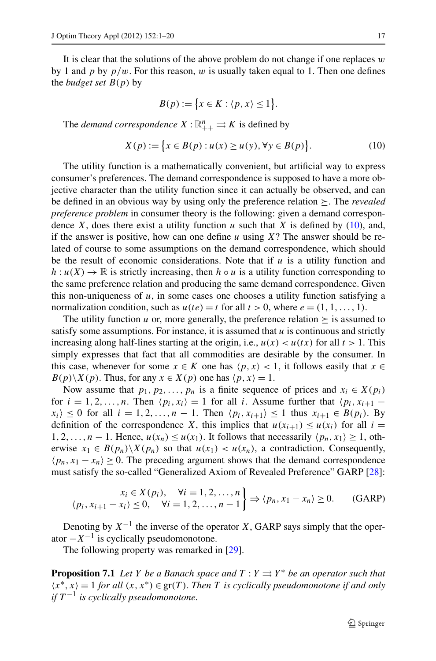It is clear that the solutions of the above problem do not change if one replaces *w* by 1 and *p* by  $p/w$ . For this reason, *w* is usually taken equal to 1. Then one defines the *budget set B(p)* by

<span id="page-16-0"></span>
$$
B(p) := \{ x \in K : \langle p, x \rangle \le 1 \}.
$$

The *demand correspondence*  $X : \mathbb{R}_{++}^n \rightrightarrows K$  is defined by

$$
X(p) := \{ x \in B(p) : u(x) \ge u(y), \forall y \in B(p) \}. \tag{10}
$$

The utility function is a mathematically convenient, but artificial way to express consumer's preferences. The demand correspondence is supposed to have a more objective character than the utility function since it can actually be observed, and can be defined in an obvious way by using only the preference relation  $\geq$ . The *revealed preference problem* in consumer theory is the following: given a demand correspondence *X*, does there exist a utility function *u* such that *X* is defined by [\(10](#page-16-0)), and, if the answer is positive, how can one define *u* using *X*? The answer should be related of course to some assumptions on the demand correspondence, which should be the result of economic considerations. Note that if  $u$  is a utility function and  $h: u(X) \to \mathbb{R}$  is strictly increasing, then  $h \circ u$  is a utility function corresponding to the same preference relation and producing the same demand correspondence. Given this non-uniqueness of *u*, in some cases one chooses a utility function satisfying a normalization condition, such as  $u(te) = t$  for all  $t > 0$ , where  $e = (1, 1, \ldots, 1)$ .

The utility function *u* or, more generally, the preference relation  $\geq$  is assumed to satisfy some assumptions. For instance, it is assumed that  $u$  is continuous and strictly increasing along half-lines starting at the origin, i.e.,  $u(x) < u(tx)$  for all  $t > 1$ . This simply expresses that fact that all commodities are desirable by the consumer. In this case, whenever for some  $x \in K$  one has  $\langle p, x \rangle < 1$ , it follows easily that  $x \in K$  $B(p)\ X(p)$ . Thus, for any  $x \in X(p)$  one has  $\langle p, x \rangle = 1$ .

Now assume that  $p_1, p_2, \ldots, p_n$  is a finite sequence of prices and  $x_i \in X(p_i)$ for  $i = 1, 2, \ldots, n$ . Then  $\langle p_i, x_i \rangle = 1$  for all *i*. Assume further that  $\langle p_i, x_{i+1} - p_i \rangle$  $x_i$  ≤ 0 for all *i* = 1, 2, ..., *n* − 1. Then  $\langle p_i, x_{i+1} \rangle \le 1$  thus  $x_{i+1} \in B(p_i)$ . By definition of the correspondence *X*, this implies that  $u(x_{i+1}) \le u(x_i)$  for all  $i =$ 1, 2, ...,  $n-1$ . Hence,  $u(x_n) \le u(x_1)$ . It follows that necessarily  $\langle p_n, x_1 \rangle \ge 1$ , otherwise  $x_1 \in B(p_n) \backslash X(p_n)$  so that  $u(x_1) < u(x_n)$ , a contradiction. Consequently,  $\langle p_n, x_1 - x_n \rangle \ge 0$ . The preceding argument shows that the demand correspondence must satisfy the so-called "Generalized Axiom of Revealed Preference" GARP [\[28](#page-19-21)]:

$$
\begin{aligned}\nx_i \in X(p_i), \quad \forall i = 1, 2, \dots, n \\
\langle p_i, x_{i+1} - x_i \rangle \le 0, \quad \forall i = 1, 2, \dots, n-1\n\end{aligned}\n\right\} \Rightarrow \langle p_n, x_1 - x_n \rangle \ge 0.
$$
\n(GARP)

Denoting by  $X^{-1}$  the inverse of the operator *X*, GARP says simply that the operator  $-X^{-1}$  is cyclically pseudomonotone.

The following property was remarked in [\[29](#page-19-22)].

**Proposition 7.1** *Let Y be a Banach space and*  $T : Y \rightrightarrows Y^*$  *be an operator such that*  $\langle x^*, x \rangle = 1$  *for all*  $(x, x^*) \in \text{gr}(T)$ *. Then T is cyclically pseudomonotone if and only if T* <sup>−</sup><sup>1</sup> *is cyclically pseudomonotone*.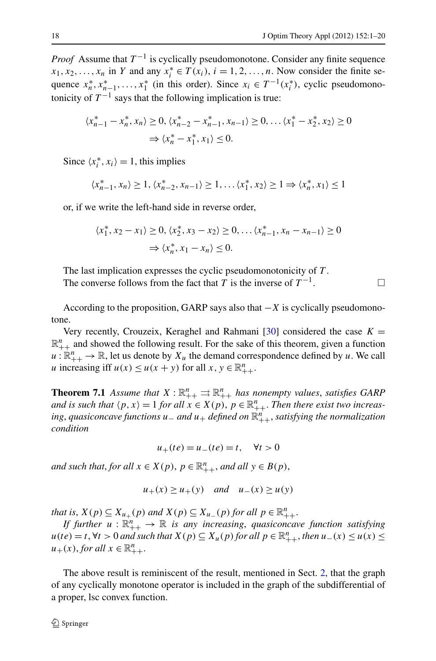*Proof* Assume that  $T^{-1}$  is cyclically pseudomonotone. Consider any finite sequence  $x_1, x_2, \ldots, x_n$  in *Y* and any  $x_i^* \in T(x_i)$ ,  $i = 1, 2, \ldots, n$ . Now consider the finite sequence  $x_n^*, x_{n-1}^*, \ldots, x_1^*$  (in this order). Since  $x_i \in T^{-1}(x_i^*)$ , cyclic pseudomonotonicity of  $T^{-1}$  says that the following implication is true:

$$
\langle x_{n-1}^* - x_n^*, x_n \rangle \ge 0, \langle x_{n-2}^* - x_{n-1}^*, x_{n-1} \rangle \ge 0, \dots \langle x_1^* - x_2^*, x_2 \rangle \ge 0
$$
  

$$
\Rightarrow \langle x_n^* - x_1^*, x_1 \rangle \le 0.
$$

Since  $\langle x_i^*, x_i \rangle = 1$ , this implies

$$
\langle x_{n-1}^*, x_n \rangle \ge 1, \langle x_{n-2}^*, x_{n-1} \rangle \ge 1, \ldots \langle x_1^*, x_2 \rangle \ge 1 \Rightarrow \langle x_n^*, x_1 \rangle \le 1
$$

or, if we write the left-hand side in reverse order,

$$
\langle x_1^*, x_2 - x_1 \rangle \ge 0, \langle x_2^*, x_3 - x_2 \rangle \ge 0, \dots \langle x_{n-1}^*, x_n - x_{n-1} \rangle \ge 0
$$
  

$$
\Rightarrow \langle x_n^*, x_1 - x_n \rangle \le 0.
$$

The last implication expresses the cyclic pseudomonotonicity of *T* . The converse follows from the fact that *T* is the inverse of  $T^{-1}$ .

According to the proposition, GARP says also that −*X* is cyclically pseudomonotone.

Very recently, Crouzeix, Keraghel and Rahmani  $[30]$  $[30]$  considered the case  $K =$  $\mathbb{R}_{++}^n$  and showed the following result. For the sake of this theorem, given a function  $u:\mathbb{R}_{++}^n\to\mathbb{R}$ , let us denote by  $X_u$  the demand correspondence defined by *u*. We call *u* increasing iff  $u(x) \le u(x + y)$  for all  $x, y \in \mathbb{R}_{++}^n$ .

**Theorem 7.1** *Assume that*  $X : \mathbb{R}_{++}^n \Rightarrow \mathbb{R}_{++}^n$  *has nonempty values, satisfies GARP and is such that*  $\langle p, x \rangle = 1$  *for all*  $x \in X(p)$ ,  $p \in \mathbb{R}_{++}^n$ . *Then there exist two increas* $i$ ng, quasiconcave functions  $u$ <sub>−</sub> and  $u$ <sub>+</sub> defined on  $\mathbb{R}_{++}^n$ , satisfying the normalization *condition*

 $u_{+}(te) = u_{-}(te) = t, \quad \forall t > 0$ 

*and such that, for all*  $x \in X(p)$ ,  $p \in \mathbb{R}_{++}^n$ , *and all*  $y \in B(p)$ ,

$$
u_+(x) \ge u_+(y) \quad \text{and} \quad u_-(x) \ge u(y)
$$

*that is*,  $X(p) \subseteq X_{u+}(p)$  *and*  $X(p) \subseteq X_{u-}(p)$  *for all*  $p \in \mathbb{R}_{++}^n$ .

*If further*  $u : \mathbb{R}_{++}^n \to \mathbb{R}$  *is any increasing, quasiconcave function satisfying u*(*te*) = *t*,  $\forall t > 0$  *and such that*  $X(p) \subseteq X_u(p)$  *for all*  $p \in \mathbb{R}_{++}^n$ , *then*  $u_-(x) \le u(x) \le$  $u_+(x)$ , *for all*  $x \in \mathbb{R}_{++}^n$ .

The above result is reminiscent of the result, mentioned in Sect. [2,](#page-1-0) that the graph of any cyclically monotone operator is included in the graph of the subdifferential of a proper, lsc convex function.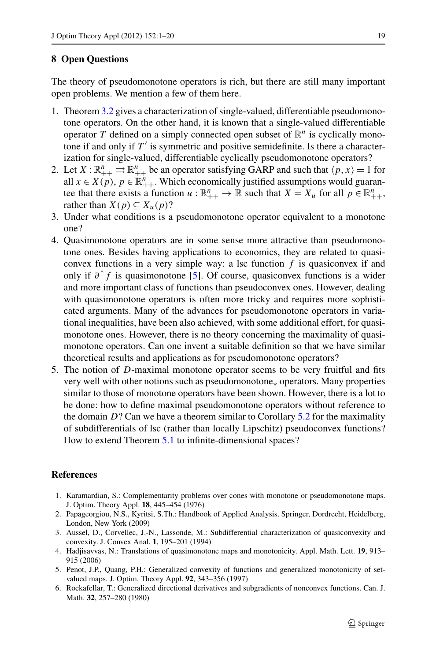## **8 Open Questions**

The theory of pseudomonotone operators is rich, but there are still many important open problems. We mention a few of them here.

- 1. Theorem [3.2](#page-4-6) gives a characterization of single-valued, differentiable pseudomonotone operators. On the other hand, it is known that a single-valued differentiable operator *T* defined on a simply connected open subset of  $\mathbb{R}^n$  is cyclically monotone if and only if *T* is symmetric and positive semidefinite. Is there a characterization for single-valued, differentiable cyclically pseudomonotone operators?
- 2. Let  $X: \mathbb{R}_{++}^n \rightrightarrows \mathbb{R}_{++}^n$  be an operator satisfying GARP and such that  $\langle p, x \rangle = 1$  for all  $x \in X(p)$ ,  $p \in \mathbb{R}_{++}^n$ . Which economically justified assumptions would guarantee that there exists a function  $u : \mathbb{R}_{++}^n \to \mathbb{R}$  such that  $X = X_u$  for all  $p \in \mathbb{R}_{++}^n$ , rather than  $X(p) \subseteq X_u(p)$ ?
- 3. Under what conditions is a pseudomonotone operator equivalent to a monotone one?
- 4. Quasimonotone operators are in some sense more attractive than pseudomonotone ones. Besides having applications to economics, they are related to quasiconvex functions in a very simple way: a lsc function *f* is quasiconvex if and only if *∂*↑*f* is quasimonotone [\[5](#page-18-4)]. Of course, quasiconvex functions is a wider and more important class of functions than pseudoconvex ones. However, dealing with quasimonotone operators is often more tricky and requires more sophisticated arguments. Many of the advances for pseudomonotone operators in variational inequalities, have been also achieved, with some additional effort, for quasimonotone ones. However, there is no theory concerning the maximality of quasimonotone operators. Can one invent a suitable definition so that we have similar theoretical results and applications as for pseudomonotone operators?
- <span id="page-18-0"></span>5. The notion of *D*-maximal monotone operator seems to be very fruitful and fits very well with other notions such as pseudomonotone∗ operators. Many properties similar to those of monotone operators have been shown. However, there is a lot to be done: how to define maximal pseudomonotone operators without reference to the domain *D*? Can we have a theorem similar to Corollary [5.2](#page-11-2) for the maximality of subdifferentials of lsc (rather than locally Lipschitz) pseudoconvex functions? How to extend Theorem [5.1](#page-11-3) to infinite-dimensional spaces?

## <span id="page-18-5"></span><span id="page-18-4"></span><span id="page-18-3"></span><span id="page-18-2"></span><span id="page-18-1"></span>**References**

- 1. Karamardian, S.: Complementarity problems over cones with monotone or pseudomonotone maps. J. Optim. Theory Appl. **18**, 445–454 (1976)
- 2. Papageorgiou, N.S., Kyritsi, S.Th.: Handbook of Applied Analysis. Springer, Dordrecht, Heidelberg, London, New York (2009)
- 3. Aussel, D., Corvellec, J.-N., Lassonde, M.: Subdifferential characterization of quasiconvexity and convexity. J. Convex Anal. **1**, 195–201 (1994)
- 4. Hadjisavvas, N.: Translations of quasimonotone maps and monotonicity. Appl. Math. Lett. **19**, 913– 915 (2006)
- 5. Penot, J.P., Quang, P.H.: Generalized convexity of functions and generalized monotonicity of setvalued maps. J. Optim. Theory Appl. **92**, 343–356 (1997)
- 6. Rockafellar, T.: Generalized directional derivatives and subgradients of nonconvex functions. Can. J. Math. **32**, 257–280 (1980)